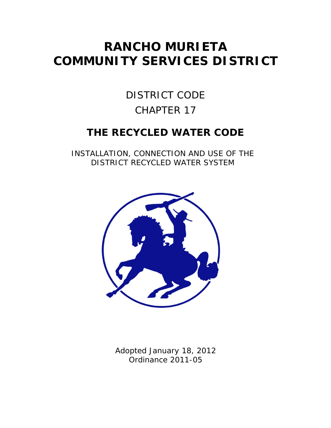# **RANCHO MURIETA COMMUNITY SERVICES DISTRICT**

# DISTRICT CODE CHAPTER 17

# **THE RECYCLED WATER CODE**

INSTALLATION, CONNECTION AND USE OF THE DISTRICT RECYCLED WATER SYSTEM



Adopted January 18, 2012 Ordinance 2011-05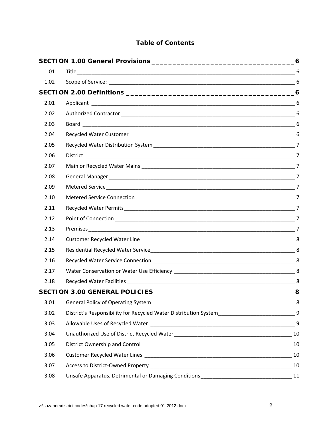# **Table of Contents**

| 1.01 |                                                                                                  |                |
|------|--------------------------------------------------------------------------------------------------|----------------|
| 1.02 | Scope of Service: 6                                                                              |                |
|      |                                                                                                  |                |
| 2.01 |                                                                                                  |                |
| 2.02 |                                                                                                  |                |
| 2.03 |                                                                                                  |                |
| 2.04 |                                                                                                  |                |
| 2.05 |                                                                                                  |                |
| 2.06 |                                                                                                  |                |
| 2.07 |                                                                                                  |                |
| 2.08 |                                                                                                  |                |
| 2.09 |                                                                                                  |                |
| 2.10 |                                                                                                  |                |
| 2.11 |                                                                                                  |                |
| 2.12 |                                                                                                  | $\overline{7}$ |
| 2.13 |                                                                                                  |                |
| 2.14 |                                                                                                  |                |
| 2.15 |                                                                                                  |                |
| 2.16 |                                                                                                  |                |
| 2.17 |                                                                                                  |                |
| 2.18 |                                                                                                  |                |
|      |                                                                                                  | 8              |
| 3.01 |                                                                                                  |                |
| 3.02 | District's Responsibility for Recycled Water Distribution System_______________________________9 |                |
| 3.03 |                                                                                                  |                |
| 3.04 |                                                                                                  |                |
| 3.05 |                                                                                                  |                |
| 3.06 |                                                                                                  |                |
| 3.07 |                                                                                                  | 10             |
| 3.08 | Unsafe Apparatus, Detrimental or Damaging Conditions ___________________________________11       |                |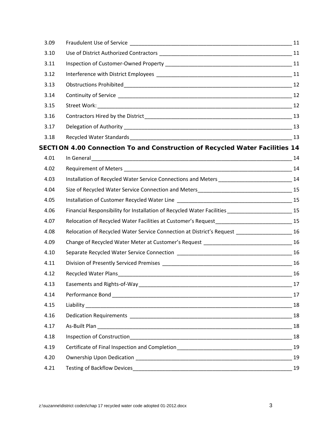| 3.09 |                                                                                                               |    |
|------|---------------------------------------------------------------------------------------------------------------|----|
| 3.10 |                                                                                                               |    |
| 3.11 |                                                                                                               |    |
| 3.12 |                                                                                                               |    |
| 3.13 |                                                                                                               |    |
| 3.14 |                                                                                                               |    |
| 3.15 |                                                                                                               |    |
| 3.16 |                                                                                                               |    |
| 3.17 |                                                                                                               |    |
| 3.18 |                                                                                                               |    |
|      | SECTION 4.00 Connection To and Construction of Recycled Water Facilities 14                                   |    |
| 4.01 |                                                                                                               |    |
| 4.02 |                                                                                                               |    |
| 4.03 | Installation of Recycled Water Service Connections and Meters _____________________________14                 |    |
| 4.04 |                                                                                                               |    |
| 4.05 |                                                                                                               |    |
| 4.06 | Financial Responsibility for Installation of Recycled Water Facilities ___________________________15          |    |
| 4.07 | Relocation of Recycled Water Facilities at Customer's Request_______________________________15                |    |
| 4.08 | Relocation of Recycled Water Service Connection at District's Request ______________________16                |    |
| 4.09 | Change of Recycled Water Meter at Customer's Request __________________________________16                     |    |
| 4.10 |                                                                                                               |    |
| 4.11 |                                                                                                               |    |
| 4.12 | Recycled Water Plans 2016 16 and 2016 16 and 2017 16 and 2018 16 and 2018 16 and 2018 16 and 2018 16 and 2018 |    |
| 4.13 |                                                                                                               |    |
| 4.14 |                                                                                                               | 17 |
| 4.15 |                                                                                                               |    |
| 4.16 |                                                                                                               |    |
| 4.17 |                                                                                                               | 18 |
| 4.18 |                                                                                                               | 18 |
| 4.19 | Certificate of Final Inspection and Completion__________________________________                              | 19 |
| 4.20 |                                                                                                               | 19 |
| 4.21 |                                                                                                               | 19 |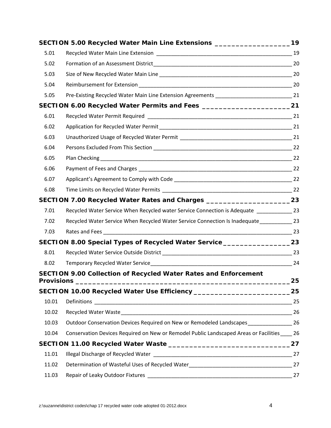|       | SECTION 5.00 Recycled Water Main Line Extensions ______________________________19              |    |
|-------|------------------------------------------------------------------------------------------------|----|
| 5.01  |                                                                                                |    |
| 5.02  |                                                                                                |    |
| 5.03  |                                                                                                |    |
| 5.04  |                                                                                                |    |
| 5.05  | Pre-Existing Recycled Water Main Line Extension Agreements _________________________________21 |    |
|       |                                                                                                |    |
| 6.01  |                                                                                                |    |
| 6.02  |                                                                                                |    |
| 6.03  |                                                                                                |    |
| 6.04  |                                                                                                |    |
| 6.05  |                                                                                                |    |
| 6.06  |                                                                                                |    |
| 6.07  |                                                                                                |    |
| 6.08  |                                                                                                |    |
|       | SECTION 7.00 Recycled Water Rates and Charges ___________________________23                    |    |
| 7.01  | Recycled Water Service When Recycled water Service Connection is Adequate ______________ 23    |    |
| 7.02  | Recycled Water Service When Recycled Water Service Connection Is Inadequate_____________ 23    |    |
| 7.03  |                                                                                                |    |
|       | SECTION 8.00 Special Types of Recycled Water Service ___________________________23             |    |
| 8.01  |                                                                                                |    |
| 8.02  |                                                                                                |    |
|       | <b>SECTION 9.00 Collection of Recycled Water Rates and Enforcement</b>                         | 25 |
|       | SECTION 10.00 Recycled Water Use Efficiency ___________________________________25              |    |
| 10.01 |                                                                                                |    |
| 10.02 |                                                                                                |    |
| 10.03 | Outdoor Conservation Devices Required on New or Remodeled Landscapes 26                        |    |
| 10.04 | Conservation Devices Required on New or Remodel Public Landscaped Areas or Facilities 26       |    |
|       |                                                                                                |    |
| 11.01 |                                                                                                |    |
| 11.02 |                                                                                                |    |
| 11.03 |                                                                                                | 27 |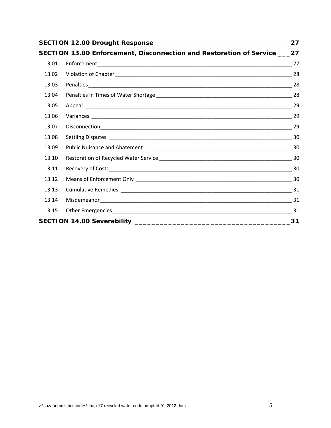| 27    |                                                                             |  |
|-------|-----------------------------------------------------------------------------|--|
|       | SECTION 13.00 Enforcement, Disconnection and Restoration of Service ____ 27 |  |
| 13.01 |                                                                             |  |
| 13.02 |                                                                             |  |
| 13.03 |                                                                             |  |
| 13.04 |                                                                             |  |
| 13.05 |                                                                             |  |
| 13.06 |                                                                             |  |
| 13.07 |                                                                             |  |
| 13.08 |                                                                             |  |
| 13.09 |                                                                             |  |
| 13.10 |                                                                             |  |
| 13.11 |                                                                             |  |
| 13.12 |                                                                             |  |
| 13.13 |                                                                             |  |
| 13.14 |                                                                             |  |
| 13.15 |                                                                             |  |
| 31    |                                                                             |  |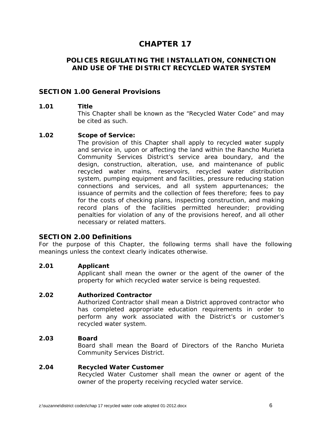# **CHAPTER 17**

# **POLICES REGULATING THE INSTALLATION, CONNECTION AND USE OF THE DISTRICT RECYCLED WATER SYSTEM**

#### **SECTION 1.00 General Provisions**

#### **1.01 Title**

 This Chapter shall be known as the "Recycled Water Code" and may be cited as such.

#### **1.02 Scope of Service:**

 The provision of this Chapter shall apply to recycled water supply and service in, upon or affecting the land within the Rancho Murieta Community Services District's service area boundary, and the design, construction, alteration, use, and maintenance of public recycled water mains, reservoirs, recycled water distribution system, pumping equipment and facilities, pressure reducing station connections and services, and all system appurtenances; the issuance of permits and the collection of fees therefore; fees to pay for the costs of checking plans, inspecting construction, and making record plans of the facilities permitted hereunder; providing penalties for violation of any of the provisions hereof, and all other necessary or related matters.

#### **SECTION 2.00 Definitions**

For the purpose of this Chapter, the following terms shall have the following meanings unless the context clearly indicates otherwise.

#### **2.01 Applicant**

 Applicant shall mean the owner or the agent of the owner of the property for which recycled water service is being requested.

#### **2.02 Authorized Contractor**

Authorized Contractor shall mean a District approved contractor who has completed appropriate education requirements in order to perform any work associated with the District's or customer's recycled water system.

#### **2.03 Board**

Board shall mean the Board of Directors of the Rancho Murieta Community Services District.

#### **2.04 Recycled Water Customer**

Recycled Water Customer shall mean the owner or agent of the owner of the property receiving recycled water service.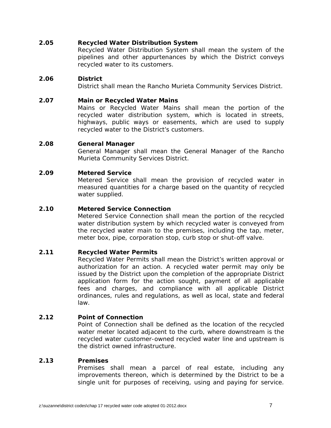#### **2.05 Recycled Water Distribution System**

Recycled Water Distribution System shall mean the system of the pipelines and other appurtenances by which the District conveys recycled water to its customers.

#### **2.06 District**

District shall mean the Rancho Murieta Community Services District.

#### **2.07 Main or Recycled Water Mains**

Mains or Recycled Water Mains shall mean the portion of the recycled water distribution system, which is located in streets, highways, public ways or easements, which are used to supply recycled water to the District's customers.

#### **2.08 General Manager**

General Manager shall mean the General Manager of the Rancho Murieta Community Services District.

#### **2.09 Metered Service**

Metered Service shall mean the provision of recycled water in measured quantities for a charge based on the quantity of recycled water supplied.

#### **2.10 Metered Service Connection**

Metered Service Connection shall mean the portion of the recycled water distribution system by which recycled water is conveyed from the recycled water main to the premises, including the tap, meter, meter box, pipe, corporation stop, curb stop or shut-off valve.

#### **2.11 Recycled Water Permits**

Recycled Water Permits shall mean the District's written approval or authorization for an action. A recycled water permit may only be issued by the District upon the completion of the appropriate District application form for the action sought, payment of all applicable fees and charges, and compliance with all applicable District ordinances, rules and regulations, as well as local, state and federal law.

#### **2.12 Point of Connection**

Point of Connection shall be defined as the location of the recycled water meter located adjacent to the curb, where downstream is the recycled water customer-owned recycled water line and upstream is the district owned infrastructure.

#### **2.13 Premises**

Premises shall mean a parcel of real estate, including any improvements thereon, which is determined by the District to be a single unit for purposes of receiving, using and paying for service.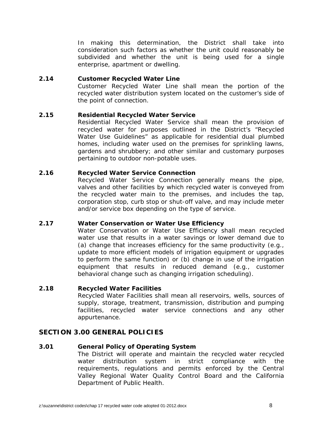In making this determination, the District shall take into consideration such factors as whether the unit could reasonably be subdivided and whether the unit is being used for a single enterprise, apartment or dwelling.

#### **2.14 Customer Recycled Water Line**

Customer Recycled Water Line shall mean the portion of the recycled water distribution system located on the customer's side of the point of connection.

#### **2.15 Residential Recycled Water Service**

Residential Recycled Water Service shall mean the provision of recycled water for purposes outlined in the District's "Recycled Water Use Guidelines" as applicable for residential dual plumbed homes, including water used on the premises for sprinkling lawns, gardens and shrubbery; and other similar and customary purposes pertaining to outdoor non-potable uses.

#### **2.16 Recycled Water Service Connection**

Recycled Water Service Connection generally means the pipe, valves and other facilities by which recycled water is conveyed from the recycled water main to the premises, and includes the tap, corporation stop, curb stop or shut-off valve, and may include meter and/or service box depending on the type of service.

#### **2.17 Water Conservation or Water Use Efficiency**

Water Conservation or Water Use Efficiency shall mean recycled water use that results in a water savings or lower demand due to (a) change that increases efficiency for the same productivity (e.g., update to more efficient models of irrigation equipment or upgrades to perform the same function) or (b) change in use of the irrigation equipment that results in reduced demand (e.g., customer behavioral change such as changing irrigation scheduling).

#### **2.18 Recycled Water Facilities**

Recycled Water Facilities shall mean all reservoirs, wells, sources of supply, storage, treatment, transmission, distribution and pumping facilities, recycled water service connections and any other appurtenance.

# **SECTION 3.00 GENERAL POLICIES**

#### **3.01 General Policy of Operating System**

The District will operate and maintain the recycled water recycled water distribution system in strict compliance with the requirements, regulations and permits enforced by the Central Valley Regional Water Quality Control Board and the California Department of Public Health.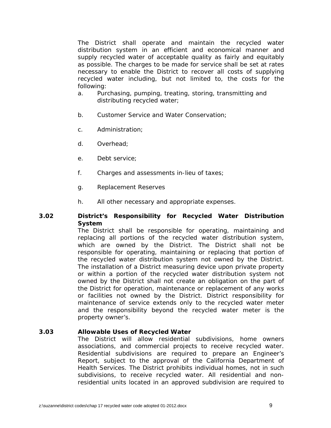The District shall operate and maintain the recycled water distribution system in an efficient and economical manner and supply recycled water of acceptable quality as fairly and equitably as possible. The charges to be made for service shall be set at rates necessary to enable the District to recover all costs of supplying recycled water including, but not limited to, the costs for the following:

- a. Purchasing, pumping, treating, storing, transmitting and distributing recycled water;
- b. Customer Service and Water Conservation;
- c. Administration;
- d. Overhead;
- e. Debt service;
- f. Charges and assessments in-lieu of taxes;
- g. Replacement Reserves
- h. All other necessary and appropriate expenses.

#### **3.02 District's Responsibility for Recycled Water Distribution System**

 The District shall be responsible for operating, maintaining and replacing all portions of the recycled water distribution system, which are owned by the District. The District shall not be responsible for operating, maintaining or replacing that portion of the recycled water distribution system not owned by the District. The installation of a District measuring device upon private property or within a portion of the recycled water distribution system not owned by the District shall not create an obligation on the part of the District for operation, maintenance or replacement of any works or facilities not owned by the District. District responsibility for maintenance of service extends only to the recycled water meter and the responsibility beyond the recycled water meter is the property owner's.

#### **3.03 Allowable Uses of Recycled Water**

The District will allow residential subdivisions, home owners associations, and commercial projects to receive recycled water. Residential subdivisions are required to prepare an Engineer's Report, subject to the approval of the California Department of Health Services. The District prohibits individual homes, not in such subdivisions, to receive recycled water. All residential and nonresidential units located in an approved subdivision are required to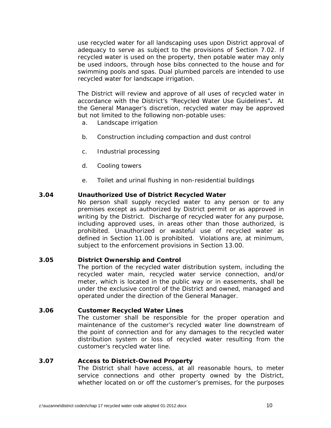use recycled water for all landscaping uses upon District approval of adequacy to serve as subject to the provisions of Section 7.02. If recycled water is used on the property, then potable water may only be used indoors, through hose bibs connected to the house and for swimming pools and spas. Dual plumbed parcels are intended to use recycled water for landscape irrigation.

The District will review and approve of all uses of recycled water in accordance with the District's "Recycled Water Use Guidelines"**.** At the General Manager's discretion, recycled water may be approved but not limited to the following non-potable uses:

- a. Landscape irrigation
- b. Construction including compaction and dust control
- c. Industrial processing
- d. Cooling towers
- e. Toilet and urinal flushing in non-residential buildings

#### **3.04 Unauthorized Use of District Recycled Water**

 No person shall supply recycled water to any person or to any premises except as authorized by District permit or as approved in writing by the District. Discharge of recycled water for any purpose, including approved uses, in areas other than those authorized, is prohibited. Unauthorized or wasteful use of recycled water as defined in Section 11.00 is prohibited. Violations are, at minimum, subject to the enforcement provisions in Section 13.00.

#### **3.05 District Ownership and Control**

 The portion of the recycled water distribution system, including the recycled water main, recycled water service connection, and/or meter, which is located in the public way or in easements, shall be under the exclusive control of the District and owned, managed and operated under the direction of the General Manager.

#### **3.06 Customer Recycled Water Lines**

 The customer shall be responsible for the proper operation and maintenance of the customer's recycled water line downstream of the point of connection and for any damages to the recycled water distribution system or loss of recycled water resulting from the customer's recycled water line.

#### **3.07 Access to District-Owned Property**

 The District shall have access, at all reasonable hours, to meter service connections and other property owned by the District, whether located on or off the customer's premises, for the purposes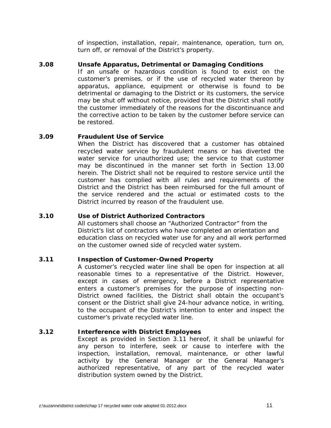of inspection, installation, repair, maintenance, operation, turn on, turn off, or removal of the District's property.

#### **3.08 Unsafe Apparatus, Detrimental or Damaging Conditions**

 If an unsafe or hazardous condition is found to exist on the customer's premises, or if the use of recycled water thereon by apparatus, appliance, equipment or otherwise is found to be detrimental or damaging to the District or its customers, the service may be shut off without notice, provided that the District shall notify the customer immediately of the reasons for the discontinuance and the corrective action to be taken by the customer before service can be restored.

#### **3.09 Fraudulent Use of Service**

 When the District has discovered that a customer has obtained recycled water service by fraudulent means or has diverted the water service for unauthorized use; the service to that customer may be discontinued in the manner set forth in Section 13.00 herein. The District shall not be required to restore service until the customer has complied with all rules and requirements of the District and the District has been reimbursed for the full amount of the service rendered and the actual or estimated costs to the District incurred by reason of the fraudulent use.

#### **3.10 Use of District Authorized Contractors**

All customers shall choose an "Authorized Contractor" from the District's list of contractors who have completed an orientation and education class on recycled water use for any and all work performed on the customer owned side of recycled water system.

#### **3.11 Inspection of Customer-Owned Property**

 A customer's recycled water line shall be open for inspection at all reasonable times to a representative of the District. However, except in cases of emergency, before a District representative enters a customer's premises for the purpose of inspecting non-District owned facilities, the District shall obtain the occupant's consent or the District shall give 24-hour advance notice, in writing, to the occupant of the District's intention to enter and inspect the customer's private recycled water line.

#### **3.12 Interference with District Employees**

 Except as provided in Section 3.11 hereof, it shall be unlawful for any person to interfere, seek or cause to interfere with the inspection, installation, removal, maintenance, or other lawful activity by the General Manager or the General Manager's authorized representative, of any part of the recycled water distribution system owned by the District.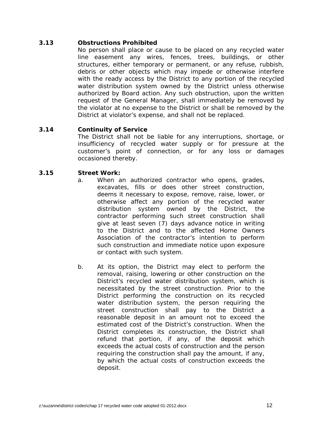# **3.13 Obstructions Prohibited**

 No person shall place or cause to be placed on any recycled water line easement any wires, fences, trees, buildings, or other structures, either temporary or permanent, or any refuse, rubbish, debris or other objects which may impede or otherwise interfere with the ready access by the District to any portion of the recycled water distribution system owned by the District unless otherwise authorized by Board action. Any such obstruction, upon the written request of the General Manager, shall immediately be removed by the violator at no expense to the District or shall be removed by the District at violator's expense, and shall not be replaced.

#### **3.14 Continuity of Service**

 The District shall not be liable for any interruptions, shortage, or insufficiency of recycled water supply or for pressure at the customer's point of connection, or for any loss or damages occasioned thereby.

#### **3.15 Street Work:**

- a. When an authorized contractor who opens, grades, excavates, fills or does other street construction, deems it necessary to expose, remove, raise, lower, or otherwise affect any portion of the recycled water distribution system owned by the District, the contractor performing such street construction shall give at least seven (7) days advance notice in writing to the District and to the affected Home Owners Association of the contractor's intention to perform such construction and immediate notice upon exposure or contact with such system.
- b. At its option, the District may elect to perform the removal, raising, lowering or other construction on the District's recycled water distribution system, which is necessitated by the street construction. Prior to the District performing the construction on its recycled water distribution system, the person requiring the street construction shall pay to the District a reasonable deposit in an amount not to exceed the estimated cost of the District's construction. When the District completes its construction, the District shall refund that portion, if any, of the deposit which exceeds the actual costs of construction and the person requiring the construction shall pay the amount, if any, by which the actual costs of construction exceeds the deposit.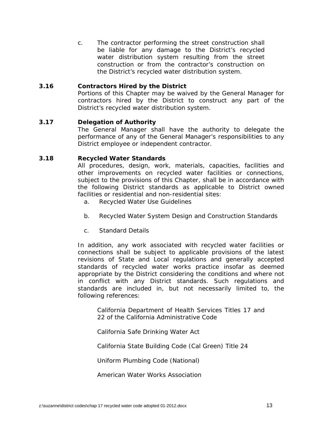c. The contractor performing the street construction shall be liable for any damage to the District's recycled water distribution system resulting from the street construction or from the contractor's construction on the District's recycled water distribution system.

#### **3.16 Contractors Hired by the District**

 Portions of this Chapter may be waived by the General Manager for contractors hired by the District to construct any part of the District's recycled water distribution system.

#### **3.17 Delegation of Authority**

 The General Manager shall have the authority to delegate the performance of any of the General Manager's responsibilities to any District employee or independent contractor.

#### **3.18 Recycled Water Standards**

 All procedures, design, work, materials, capacities, facilities and other improvements on recycled water facilities or connections, subject to the provisions of this Chapter, shall be in accordance with the following District standards as applicable to District owned facilities or residential and non-residential sites:

- a. Recycled Water Use Guidelines
- b. Recycled Water System Design and Construction Standards
- c. Standard Details

In addition, any work associated with recycled water facilities or connections shall be subject to applicable provisions of the latest revisions of State and Local regulations and generally accepted standards of recycled water works practice insofar as deemed appropriate by the District considering the conditions and where not in conflict with any District standards. Such regulations and standards are included in, but not necessarily limited to, the following references:

 California Department of Health Services Titles 17 and 22 of the California Administrative Code

California Safe Drinking Water Act

California State Building Code (Cal Green) Title 24

Uniform Plumbing Code (National)

American Water Works Association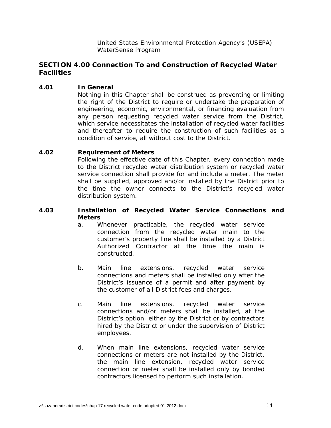United States Environmental Protection Agency's (USEPA) WaterSense Program

# **SECTION 4.00 Connection To and Construction of Recycled Water Facilities**

#### **4.01 In General**

 Nothing in this Chapter shall be construed as preventing or limiting the right of the District to require or undertake the preparation of engineering, economic, environmental, or financing evaluation from any person requesting recycled water service from the District, which service necessitates the installation of recycled water facilities and thereafter to require the construction of such facilities as a condition of service, all without cost to the District.

#### **4.02 Requirement of Meters**

 Following the effective date of this Chapter, every connection made to the District recycled water distribution system or recycled water service connection shall provide for and include a meter. The meter shall be supplied, approved and/or installed by the District prior to the time the owner connects to the District's recycled water distribution system.

#### **4.03 Installation of Recycled Water Service Connections and Meters**

- a. Whenever practicable, the recycled water service connection from the recycled water main to the customer's property line shall be installed by a District Authorized Contractor at the time the main is constructed.
- b. Main line extensions, recycled water service connections and meters shall be installed only after the District's issuance of a permit and after payment by the customer of all District fees and charges.
- c. Main line extensions, recycled water service connections and/or meters shall be installed, at the District's option, either by the District or by contractors hired by the District or under the supervision of District employees.
- d. When main line extensions, recycled water service connections or meters are not installed by the District, the main line extension, recycled water service connection or meter shall be installed only by bonded contractors licensed to perform such installation.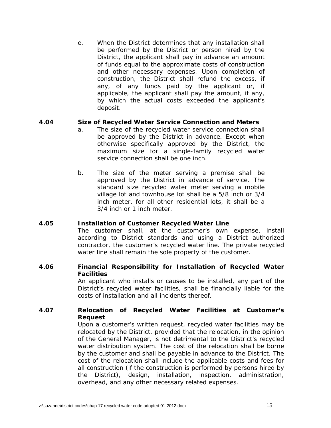e. When the District determines that any installation shall be performed by the District or person hired by the District, the applicant shall pay in advance an amount of funds equal to the approximate costs of construction and other necessary expenses. Upon completion of construction, the District shall refund the excess, if any, of any funds paid by the applicant or, if applicable, the applicant shall pay the amount, if any, by which the actual costs exceeded the applicant's deposit.

#### **4.04 Size of Recycled Water Service Connection and Meters**

- a. The size of the recycled water service connection shall be approved by the District in advance. Except when otherwise specifically approved by the District, the maximum size for a single-family recycled water service connection shall be one inch.
- b. The size of the meter serving a premise shall be approved by the District in advance of service. The standard size recycled water meter serving a mobile village lot and townhouse lot shall be a 5/8 inch or 3/4 inch meter, for all other residential lots, it shall be a 3/4 inch or 1 inch meter.

#### **4.05 Installation of Customer Recycled Water Line**

 The customer shall, at the customer's own expense, install according to District standards and using a District authorized contractor, the customer's recycled water line. The private recycled water line shall remain the sole property of the customer.

#### **4.06 Financial Responsibility for Installation of Recycled Water Facilities**

 An applicant who installs or causes to be installed, any part of the District's recycled water facilities, shall be financially liable for the costs of installation and all incidents thereof.

#### **4.07 Relocation of Recycled Water Facilities at Customer's Request**

 Upon a customer's written request, recycled water facilities may be relocated by the District, provided that the relocation, in the opinion of the General Manager, is not detrimental to the District's recycled water distribution system. The cost of the relocation shall be borne by the customer and shall be payable in advance to the District. The cost of the relocation shall include the applicable costs and fees for all construction (if the construction is performed by persons hired by the District), design, installation, inspection, administration, overhead, and any other necessary related expenses.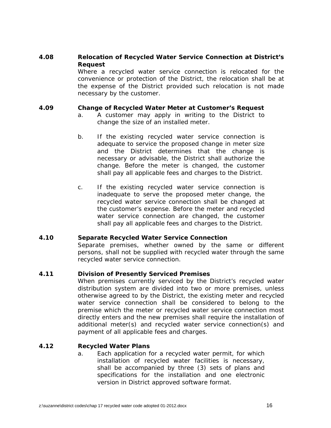#### **4.08 Relocation of Recycled Water Service Connection at District's Request**

 Where a recycled water service connection is relocated for the convenience or protection of the District, the relocation shall be at the expense of the District provided such relocation is not made necessary by the customer.

#### **4.09 Change of Recycled Water Meter at Customer's Request**

- a. A customer may apply in writing to the District to change the size of an installed meter.
- b. If the existing recycled water service connection is adequate to service the proposed change in meter size and the District determines that the change is necessary or advisable, the District shall authorize the change. Before the meter is changed, the customer shall pay all applicable fees and charges to the District.
- c. If the existing recycled water service connection is inadequate to serve the proposed meter change, the recycled water service connection shall be changed at the customer's expense. Before the meter and recycled water service connection are changed, the customer shall pay all applicable fees and charges to the District.

#### **4.10 Separate Recycled Water Service Connection**

 Separate premises, whether owned by the same or different persons, shall not be supplied with recycled water through the same recycled water service connection.

#### **4.11 Division of Presently Serviced Premises**

 When premises currently serviced by the District's recycled water distribution system are divided into two or more premises, unless otherwise agreed to by the District, the existing meter and recycled water service connection shall be considered to belong to the premise which the meter or recycled water service connection most directly enters and the new premises shall require the installation of additional meter(s) and recycled water service connection(s) and payment of all applicable fees and charges.

#### **4.12 Recycled Water Plans**

a. Each application for a recycled water permit, for which installation of recycled water facilities is necessary, shall be accompanied by three (3) sets of plans and specifications for the installation and one electronic version in District approved software format.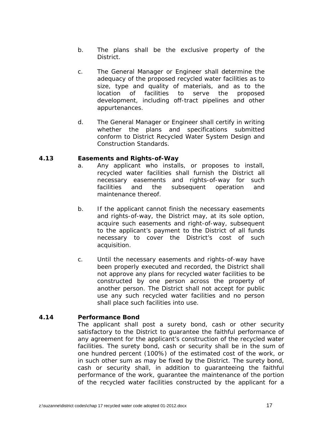- b. The plans shall be the exclusive property of the District.
- c. The General Manager or Engineer shall determine the adequacy of the proposed recycled water facilities as to size, type and quality of materials, and as to the location of facilities to serve the proposed development, including off-tract pipelines and other appurtenances.
- d. The General Manager or Engineer shall certify in writing whether the plans and specifications submitted conform to District Recycled Water System Design and Construction Standards.

#### **4.13 Easements and Rights-of-Way**

- a. Any applicant who installs, or proposes to install, recycled water facilities shall furnish the District all necessary easements and rights-of-way for such facilities and the subsequent operation and maintenance thereof.
- b. If the applicant cannot finish the necessary easements and rights-of-way, the District may, at its sole option, acquire such easements and right-of-way, subsequent to the applicant's payment to the District of all funds necessary to cover the District's cost of such acquisition.
- c. Until the necessary easements and rights-of-way have been properly executed and recorded, the District shall not approve any plans for recycled water facilities to be constructed by one person across the property of another person. The District shall not accept for public use any such recycled water facilities and no person shall place such facilities into use.

#### **4.14 Performance Bond**

 The applicant shall post a surety bond, cash or other security satisfactory to the District to guarantee the faithful performance of any agreement for the applicant's construction of the recycled water facilities. The surety bond, cash or security shall be in the sum of one hundred percent (100%) of the estimated cost of the work, or in such other sum as may be fixed by the District. The surety bond, cash or security shall, in addition to guaranteeing the faithful performance of the work, guarantee the maintenance of the portion of the recycled water facilities constructed by the applicant for a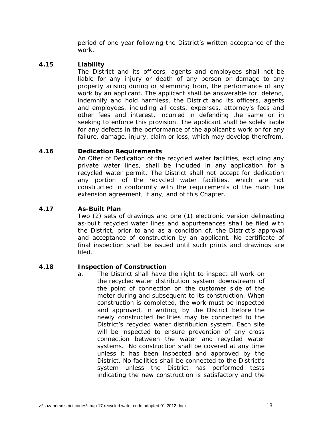period of one year following the District's written acceptance of the work.

#### **4.15 Liability**

 The District and its officers, agents and employees shall not be liable for any injury or death of any person or damage to any property arising during or stemming from, the performance of any work by an applicant. The applicant shall be answerable for, defend, indemnify and hold harmless, the District and its officers, agents and employees, including all costs, expenses, attorney's fees and other fees and interest, incurred in defending the same or in seeking to enforce this provision. The applicant shall be solely liable for any defects in the performance of the applicant's work or for any failure, damage, injury, claim or loss, which may develop therefrom.

# **4.16 Dedication Requirements**

 An Offer of Dedication of the recycled water facilities, excluding any private water lines, shall be included in any application for a recycled water permit. The District shall not accept for dedication any portion of the recycled water facilities, which are not constructed in conformity with the requirements of the main line extension agreement, if any, and of this Chapter.

#### **4.17 As-Built Plan**

 Two (2) sets of drawings and one (1) electronic version delineating as-built recycled water lines and appurtenances shall be filed with the District, prior to and as a condition of, the District's approval and acceptance of construction by an applicant. No certificate of final inspection shall be issued until such prints and drawings are filed.

#### **4.18 Inspection of Construction**

a. The District shall have the right to inspect all work on the recycled water distribution system downstream of the point of connection on the customer side of the meter during and subsequent to its construction. When construction is completed, the work must be inspected and approved, in writing, by the District before the newly constructed facilities may be connected to the District's recycled water distribution system. Each site will be inspected to ensure prevention of any cross connection between the water and recycled water systems. No construction shall be covered at any time unless it has been inspected and approved by the District. No facilities shall be connected to the District's system unless the District has performed tests indicating the new construction is satisfactory and the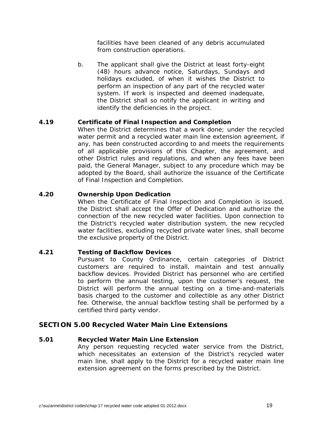facilities have been cleaned of any debris accumulated from construction operations.

b. The applicant shall give the District at least forty-eight (48) hours advance notice, Saturdays, Sundays and holidays excluded, of when it wishes the District to perform an inspection of any part of the recycled water system. If work is inspected and deemed inadequate, the District shall so notify the applicant in writing and identify the deficiencies in the project.

#### **4.19 Certificate of Final Inspection and Completion**

 When the District determines that a work done; under the recycled water permit and a recycled water main line extension agreement, if any, has been constructed according to and meets the requirements of all applicable provisions of this Chapter, the agreement, and other District rules and regulations, and when any fees have been paid, the General Manager, subject to any procedure which may be adopted by the Board, shall authorize the issuance of the Certificate of Final Inspection and Completion.

#### **4.20 Ownership Upon Dedication**

 When the Certificate of Final Inspection and Completion is issued, the District shall accept the Offer of Dedication and authorize the connection of the new recycled water facilities. Upon connection to the District's recycled water distribution system, the new recycled water facilities, excluding recycled private water lines, shall become the exclusive property of the District.

#### **4.21 Testing of Backflow Devices**

 Pursuant to County Ordinance, certain categories of District customers are required to install, maintain and test annually backflow devices. Provided District has personnel who are certified to perform the annual testing, upon the customer's request, the District will perform the annual testing on a time-and-materials basis charged to the customer and collectible as any other District fee. Otherwise, the annual backflow testing shall be performed by a certified third party vendor.

# **SECTION 5.00 Recycled Water Main Line Extensions**

#### **5.01 Recycled Water Main Line Extension**

 Any person requesting recycled water service from the District, which necessitates an extension of the District's recycled water main line, shall apply to the District for a recycled water main line extension agreement on the forms prescribed by the District.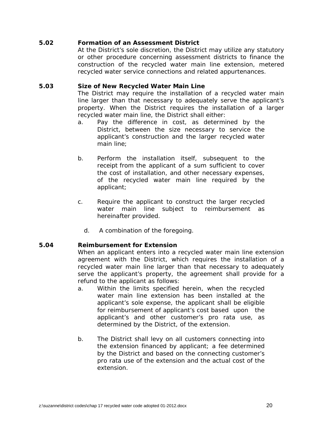#### **5.02 Formation of an Assessment District**

 At the District's sole discretion, the District may utilize any statutory or other procedure concerning assessment districts to finance the construction of the recycled water main line extension, metered recycled water service connections and related appurtenances.

#### **5.03 Size of New Recycled Water Main Line**

 The District may require the installation of a recycled water main line larger than that necessary to adequately serve the applicant's property. When the District requires the installation of a larger recycled water main line, the District shall either:

- a. Pay the difference in cost, as determined by the District, between the size necessary to service the applicant's construction and the larger recycled water main line;
- b. Perform the installation itself, subsequent to the receipt from the applicant of a sum sufficient to cover the cost of installation, and other necessary expenses, of the recycled water main line required by the applicant;
- c. Require the applicant to construct the larger recycled water main line subject to reimbursement as hereinafter provided.
	- d. A combination of the foregoing.

#### **5.04 Reimbursement for Extension**

 When an applicant enters into a recycled water main line extension agreement with the District, which requires the installation of a recycled water main line larger than that necessary to adequately serve the applicant's property, the agreement shall provide for a refund to the applicant as follows:

- a. Within the limits specified herein, when the recycled water main line extension has been installed at the applicant's sole expense, the applicant shall be eligible for reimbursement of applicant's cost based upon the applicant's and other customer's pro rata use, as determined by the District, of the extension.
- b. The District shall levy on all customers connecting into the extension financed by applicant; a fee determined by the District and based on the connecting customer's pro rata use of the extension and the actual cost of the extension.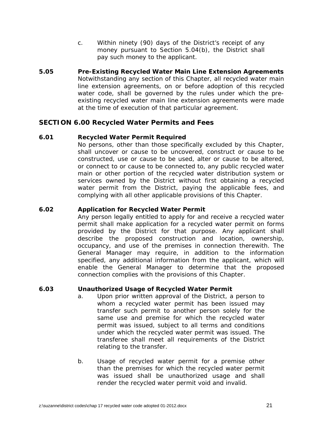- c. Within ninety (90) days of the District's receipt of any money pursuant to Section 5.04(b), the District shall pay such money to the applicant.
- **5.05 Pre-Existing Recycled Water Main Line Extension Agreements**  Notwithstanding any section of this Chapter, all recycled water main line extension agreements, on or before adoption of this recycled water code, shall be governed by the rules under which the preexisting recycled water main line extension agreements were made at the time of execution of that particular agreement.

#### **SECTION 6.00 Recycled Water Permits and Fees**

#### **6.01 Recycled Water Permit Required**

 No persons, other than those specifically excluded by this Chapter, shall uncover or cause to be uncovered, construct or cause to be constructed, use or cause to be used, alter or cause to be altered, or connect to or cause to be connected to, any public recycled water main or other portion of the recycled water distribution system or services owned by the District without first obtaining a recycled water permit from the District, paying the applicable fees, and complying with all other applicable provisions of this Chapter.

#### **6.02 Application for Recycled Water Permit**

 Any person legally entitled to apply for and receive a recycled water permit shall make application for a recycled water permit on forms provided by the District for that purpose. Any applicant shall describe the proposed construction and location, ownership, occupancy, and use of the premises in connection therewith. The General Manager may require, in addition to the information specified, any additional information from the applicant, which will enable the General Manager to determine that the proposed connection complies with the provisions of this Chapter.

#### **6.03 Unauthorized Usage of Recycled Water Permit**

- a. Upon prior written approval of the District, a person to whom a recycled water permit has been issued may transfer such permit to another person solely for the same use and premise for which the recycled water permit was issued, subject to all terms and conditions under which the recycled water permit was issued. The transferee shall meet all requirements of the District relating to the transfer.
- b. Usage of recycled water permit for a premise other than the premises for which the recycled water permit was issued shall be unauthorized usage and shall render the recycled water permit void and invalid.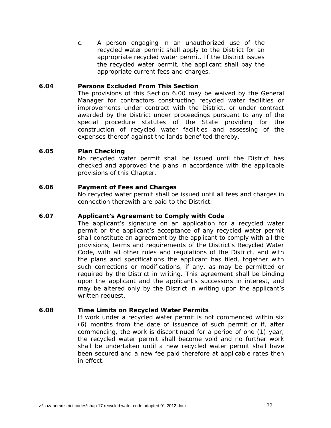c. A person engaging in an unauthorized use of the recycled water permit shall apply to the District for an appropriate recycled water permit. If the District issues the recycled water permit, the applicant shall pay the appropriate current fees and charges.

#### **6.04 Persons Excluded From This Section**

 The provisions of this Section 6.00 may be waived by the General Manager for contractors constructing recycled water facilities or improvements under contract with the District, or under contract awarded by the District under proceedings pursuant to any of the special procedure statutes of the State providing for the construction of recycled water facilities and assessing of the expenses thereof against the lands benefited thereby.

#### **6.05 Plan Checking**

 No recycled water permit shall be issued until the District has checked and approved the plans in accordance with the applicable provisions of this Chapter.

#### **6.06 Payment of Fees and Charges**

 No recycled water permit shall be issued until all fees and charges in connection therewith are paid to the District.

#### **6.07 Applicant's Agreement to Comply with Code**

 The applicant's signature on an application for a recycled water permit or the applicant's acceptance of any recycled water permit shall constitute an agreement by the applicant to comply with all the provisions, terms and requirements of the District's Recycled Water Code, with all other rules and regulations of the District, and with the plans and specifications the applicant has filed, together with such corrections or modifications, if any, as may be permitted or required by the District in writing. This agreement shall be binding upon the applicant and the applicant's successors in interest, and may be altered only by the District in writing upon the applicant's written request.

#### **6.08 Time Limits on Recycled Water Permits**

 If work under a recycled water permit is not commenced within six (6) months from the date of issuance of such permit or if, after commencing, the work is discontinued for a period of one (1) year, the recycled water permit shall become void and no further work shall be undertaken until a new recycled water permit shall have been secured and a new fee paid therefore at applicable rates then in effect.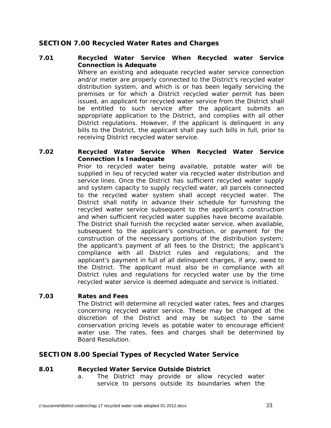# **SECTION 7.00 Recycled Water Rates and Charges**

#### **7.01 Recycled Water Service When Recycled water Service Connection is Adequate**

 Where an existing and adequate recycled water service connection and/or meter are properly connected to the District's recycled water distribution system, and which is or has been legally servicing the premises or for which a District recycled water permit has been issued, an applicant for recycled water service from the District shall be entitled to such service after the applicant submits an appropriate application to the District, and complies with all other District regulations. However, if the applicant is delinquent in any bills to the District, the applicant shall pay such bills in full, prior to receiving District recycled water service.

# **7.02 Recycled Water Service When Recycled Water Service Connection Is Inadequate**

Prior to recycled water being available, potable water will be supplied in lieu of recycled water via recycled water distribution and service lines. Once the District has sufficient recycled water supply and system capacity to supply recycled water, all parcels connected to the recycled water system shall accept recycled water. The District shall notify in advance their schedule for furnishing the recycled water service subsequent to the applicant's construction and when sufficient recycled water supplies have become available. The District shall furnish the recycled water service, when available, subsequent to the applicant's construction, or payment for the construction of the necessary portions of the distribution system; the applicant's payment of all fees to the District; the applicant's compliance with all District rules and regulations; and the applicant's payment in full of all delinquent charges, if any, owed to the District. The applicant must also be in compliance with all District rules and regulations for recycled water use by the time recycled water service is deemed adequate and service is initiated.

#### **7.03 Rates and Fees**

The District will determine all recycled water rates, fees and charges concerning recycled water service. These may be changed at the discretion of the District and may be subject to the same conservation pricing levels as potable water to encourage efficient water use. The rates, fees and charges shall be determined by Board Resolution.

# **SECTION 8.00 Special Types of Recycled Water Service**

#### **8.01 Recycled Water Service Outside District**

a. The District may provide or allow recycled water service to persons outside its boundaries when the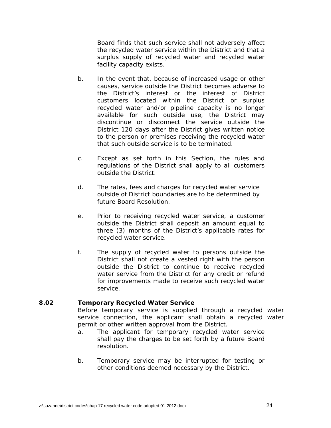Board finds that such service shall not adversely affect the recycled water service within the District and that a surplus supply of recycled water and recycled water facility capacity exists.

- b. In the event that, because of increased usage or other causes, service outside the District becomes adverse to the District's interest or the interest of District customers located within the District or surplus recycled water and/or pipeline capacity is no longer available for such outside use, the District may discontinue or disconnect the service outside the District 120 days after the District gives written notice to the person or premises receiving the recycled water that such outside service is to be terminated.
- c. Except as set forth in this Section, the rules and regulations of the District shall apply to all customers outside the District.
- d. The rates, fees and charges for recycled water service outside of District boundaries are to be determined by future Board Resolution.
- e. Prior to receiving recycled water service, a customer outside the District shall deposit an amount equal to three (3) months of the District's applicable rates for recycled water service.
- f. The supply of recycled water to persons outside the District shall not create a vested right with the person outside the District to continue to receive recycled water service from the District for any credit or refund for improvements made to receive such recycled water service.

#### **8.02 Temporary Recycled Water Service**

 Before temporary service is supplied through a recycled water service connection, the applicant shall obtain a recycled water permit or other written approval from the District.

- a. The applicant for temporary recycled water service shall pay the charges to be set forth by a future Board resolution.
- b. Temporary service may be interrupted for testing or other conditions deemed necessary by the District.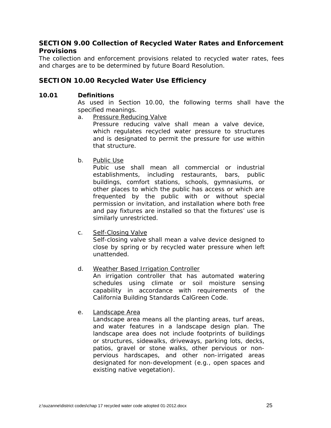# **SECTION 9.00 Collection of Recycled Water Rates and Enforcement Provisions**

The collection and enforcement provisions related to recycled water rates, fees and charges are to be determined by future Board Resolution.

# **SECTION 10.00 Recycled Water Use Efficiency**

#### **10.01 Definitions**

 As used in Section 10.00, the following terms shall have the specified meanings.

a. Pressure Reducing Valve

Pressure reducing valve shall mean a valve device, which regulates recycled water pressure to structures and is designated to permit the pressure for use within that structure.

b. Public Use

Pubic use shall mean all commercial or industrial establishments, including restaurants, bars, public buildings, comfort stations, schools, gymnasiums, or other places to which the public has access or which are frequented by the public with or without special permission or invitation, and installation where both free and pay fixtures are installed so that the fixtures' use is similarly unrestricted.

c. Self-Closing Valve

Self-closing valve shall mean a valve device designed to close by spring or by recycled water pressure when left unattended.

d. Weather Based Irrigation Controller

An irrigation controller that has automated watering schedules using climate or soil moisture sensing capability in accordance with requirements of the California Building Standards CalGreen Code.

e. Landscape Area

Landscape area means all the planting areas, turf areas, and water features in a landscape design plan. The landscape area does not include footprints of buildings or structures, sidewalks, driveways, parking lots, decks, patios, gravel or stone walks, other pervious or nonpervious hardscapes, and other non-irrigated areas designated for non-development (e.g., open spaces and existing native vegetation).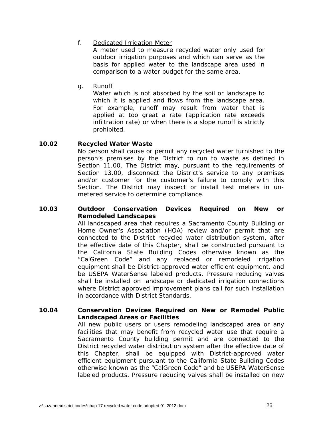#### f. Dedicated Irrigation Meter

A meter used to measure recycled water only used for outdoor irrigation purposes and which can serve as the basis for applied water to the landscape area used in comparison to a water budget for the same area.

g. Runoff

Water which is not absorbed by the soil or landscape to which it is applied and flows from the landscape area. For example, runoff may result from water that is applied at too great a rate (application rate exceeds infiltration rate) or when there is a slope runoff is strictly prohibited.

#### **10.02 Recycled Water Waste**

 No person shall cause or permit any recycled water furnished to the person's premises by the District to run to waste as defined in Section 11.00. The District may, pursuant to the requirements of Section 13.00, disconnect the District's service to any premises and/or customer for the customer's failure to comply with this Section. The District may inspect or install test meters in unmetered service to determine compliance.

#### **10.03 Outdoor Conservation Devices Required on New or Remodeled Landscapes**

 All landscaped area that requires a Sacramento County Building or Home Owner's Association (HOA) review and/or permit that are connected to the District recycled water distribution system, after the effective date of this Chapter, shall be constructed pursuant to the California State Building Codes otherwise known as the "CalGreen Code" and any replaced or remodeled irrigation equipment shall be District-approved water efficient equipment, and be USEPA WaterSense labeled products. Pressure reducing valves shall be installed on landscape or dedicated irrigation connections where District approved improvement plans call for such installation in accordance with District Standards.

#### **10.04 Conservation Devices Required on New or Remodel Public Landscaped Areas or Facilities**

 All new public users or users remodeling landscaped area or any facilities that may benefit from recycled water use that require a Sacramento County building permit and are connected to the District recycled water distribution system after the effective date of this Chapter, shall be equipped with District-approved water efficient equipment pursuant to the California State Building Codes otherwise known as the "CalGreen Code" and be USEPA WaterSense labeled products. Pressure reducing valves shall be installed on new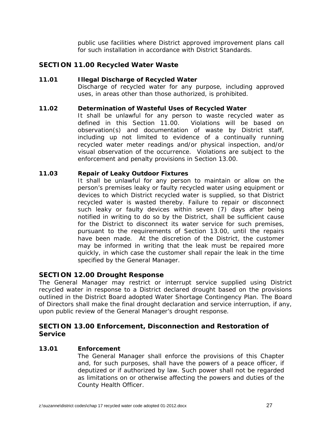public use facilities where District approved improvement plans call for such installation in accordance with District Standards.

# **SECTION 11.00 Recycled Water Waste**

#### **11.01 Illegal Discharge of Recycled Water**

Discharge of recycled water for any purpose, including approved uses, in areas other than those authorized, is prohibited.

#### **11.02 Determination of Wasteful Uses of Recycled Water**

It shall be unlawful for any person to waste recycled water as defined in this Section 11.00. Violations will be based on observation(s) and documentation of waste by District staff, including up not limited to evidence of a continually running recycled water meter readings and/or physical inspection, and/or visual observation of the occurrence. Violations are subject to the enforcement and penalty provisions in Section 13.00.

#### **11.03 Repair of Leaky Outdoor Fixtures**

It shall be unlawful for any person to maintain or allow on the person's premises leaky or faulty recycled water using equipment or devices to which District recycled water is supplied, so that District recycled water is wasted thereby. Failure to repair or disconnect such leaky or faulty devices within seven (7) days after being notified in writing to do so by the District, shall be sufficient cause for the District to disconnect its water service for such premises, pursuant to the requirements of Section 13.00, until the repairs have been made. At the discretion of the District, the customer may be informed in writing that the leak must be repaired more quickly, in which case the customer shall repair the leak in the time specified by the General Manager.

# **SECTION 12.00 Drought Response**

The General Manager may restrict or interrupt service supplied using District recycled water in response to a District declared drought based on the provisions outlined in the District Board adopted Water Shortage Contingency Plan. The Board of Directors shall make the final drought declaration and service interruption, if any, upon public review of the General Manager's drought response.

# **SECTION 13.00 Enforcement, Disconnection and Restoration of Service**

#### **13.01 Enforcement**

 The General Manager shall enforce the provisions of this Chapter and, for such purposes, shall have the powers of a peace officer, if deputized or if authorized by law. Such power shall not be regarded as limitations on or otherwise affecting the powers and duties of the County Health Officer.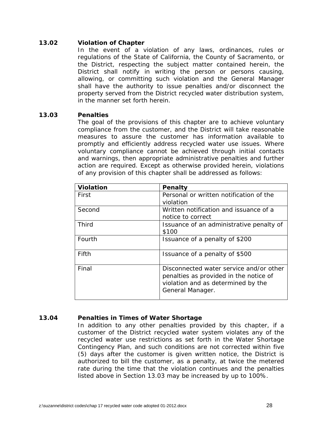#### **13.02 Violation of Chapter**

 In the event of a violation of any laws, ordinances, rules or regulations of the State of California, the County of Sacramento, or the District, respecting the subject matter contained herein, the District shall notify in writing the person or persons causing, allowing, or committing such violation and the General Manager shall have the authority to issue penalties and/or disconnect the property served from the District recycled water distribution system, in the manner set forth herein.

#### **13.03 Penalties**

The goal of the provisions of this chapter are to achieve voluntary compliance from the customer, and the District will take reasonable measures to assure the customer has information available to promptly and efficiently address recycled water use issues. Where voluntary compliance cannot be achieved through initial contacts and warnings, then appropriate administrative penalties and further action are required. Except as otherwise provided herein, violations of any provision of this chapter shall be addressed as follows:

| <b>Violation</b> | Penalty                                                                                                                                     |
|------------------|---------------------------------------------------------------------------------------------------------------------------------------------|
| First            | Personal or written notification of the<br>violation                                                                                        |
| Second           | Written notification and issuance of a<br>notice to correct                                                                                 |
| Third            | Issuance of an administrative penalty of<br>\$100                                                                                           |
| Fourth           | Issuance of a penalty of \$200                                                                                                              |
| Fifth            | Issuance of a penalty of \$500                                                                                                              |
| Final            | Disconnected water service and/or other<br>penalties as provided in the notice of<br>violation and as determined by the<br>General Manager. |

#### **13.04 Penalties in Times of Water Shortage**

In addition to any other penalties provided by this chapter, if a customer of the District recycled water system violates any of the recycled water use restrictions as set forth in the Water Shortage Contingency Plan, and such conditions are not corrected within five (5) days after the customer is given written notice, the District is authorized to bill the customer, as a penalty, at twice the metered rate during the time that the violation continues and the penalties listed above in Section 13.03 may be increased by up to 100%.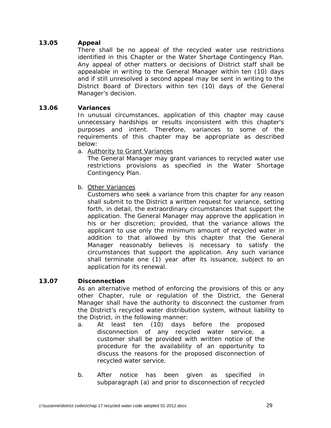# **13.05 Appeal**

There shall be no appeal of the recycled water use restrictions identified in this Chapter or the Water Shortage Contingency Plan. Any appeal of other matters or decisions of District staff shall be appealable in writing to the General Manager within ten (10) days and if still unresolved a second appeal may be sent in writing to the District Board of Directors within ten (10) days of the General Manager's decision.

#### **13.06 Variances**

In unusual circumstances, application of this chapter may cause unnecessary hardships or results inconsistent with this chapter's purposes and intent. Therefore, variances to some of the requirements of this chapter may be appropriate as described below:

a. Authority to Grant Variances

The General Manager may grant variances to recycled water use restrictions provisions as specified in the Water Shortage Contingency Plan.

b. Other Variances

Customers who seek a variance from this chapter for any reason shall submit to the District a written request for variance, setting forth, in detail, the extraordinary circumstances that support the application. The General Manager may approve the application in his or her discretion; provided, that the variance allows the applicant to use only the minimum amount of recycled water in addition to that allowed by this chapter that the General Manager reasonably believes is necessary to satisfy the circumstances that support the application. Any such variance shall terminate one (1) year after its issuance, subject to an application for its renewal.

#### **13.07 Disconnection**

 As an alternative method of enforcing the provisions of this or any other Chapter, rule or regulation of the District, the General Manager shall have the authority to disconnect the customer from the District's recycled water distribution system, without liability to the District, in the following manner:

- a. At least ten (10) days before the proposed disconnection of any recycled water service, a customer shall be provided with written notice of the procedure for the availability of an opportunity to discuss the reasons for the proposed disconnection of recycled water service.
- b. After notice has been given as specified in subparagraph (a) and prior to disconnection of recycled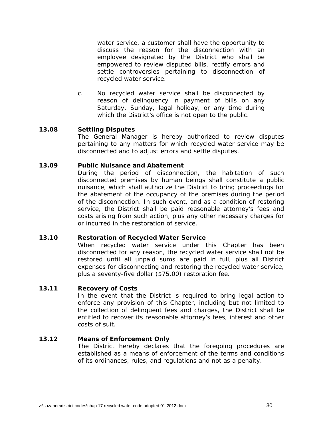water service, a customer shall have the opportunity to discuss the reason for the disconnection with an employee designated by the District who shall be empowered to review disputed bills, rectify errors and settle controversies pertaining to disconnection of recycled water service.

c. No recycled water service shall be disconnected by reason of delinquency in payment of bills on any Saturday, Sunday, legal holiday, or any time during which the District's office is not open to the public.

#### **13.08 Settling Disputes**

 The General Manager is hereby authorized to review disputes pertaining to any matters for which recycled water service may be disconnected and to adjust errors and settle disputes.

#### **13.09 Public Nuisance and Abatement**

 During the period of disconnection, the habitation of such disconnected premises by human beings shall constitute a public nuisance, which shall authorize the District to bring proceedings for the abatement of the occupancy of the premises during the period of the disconnection. In such event, and as a condition of restoring service, the District shall be paid reasonable attorney's fees and costs arising from such action, plus any other necessary charges for or incurred in the restoration of service.

#### **13.10 Restoration of Recycled Water Service**

 When recycled water service under this Chapter has been disconnected for any reason, the recycled water service shall not be restored until all unpaid sums are paid in full, plus all District expenses for disconnecting and restoring the recycled water service, plus a seventy-five dollar (\$75.00) restoration fee.

### **13.11 Recovery of Costs**

 In the event that the District is required to bring legal action to enforce any provision of this Chapter, including but not limited to the collection of delinquent fees and charges, the District shall be entitled to recover its reasonable attorney's fees, interest and other costs of suit.

# **13.12 Means of Enforcement Only**

 The District hereby declares that the foregoing procedures are established as a means of enforcement of the terms and conditions of its ordinances, rules, and regulations and not as a penalty.